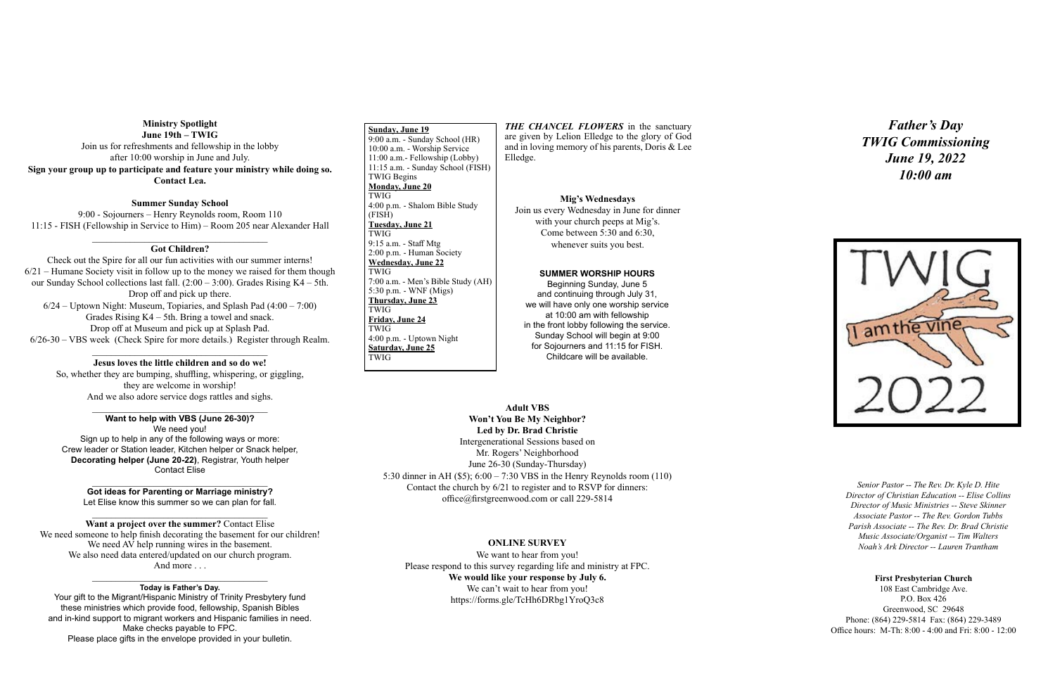#### **First Presbyterian Church**

108 East Cambridge Ave. P.O. Box 426 Greenwood, SC 29648 Phone: (864) 229-5814 Fax: (864) 229-3489 Office hours: M-Th: 8:00 - 4:00 and Fri: 8:00 - 12:00

*Senior Pastor -- The Rev. Dr. Kyle D. Hite Director of Christian Education -- Elise Collins Director of Music Ministries -- Steve Skinner Associate Pastor -- The Rev. Gordon Tubbs Parish Associate -- The Rev. Dr. Brad Christie Music Associate/Organist -- Tim Walters Noah's Ark Director -- Lauren Trantham*

*Father's Day TWIG Commissioning June 19, 2022 10:00 am*



 **Sunday, June 19** 9:00 a.m. - Sunday School (HR) 10:00 a.m. - Worship Service 11:00 a.m.- Fellowship (Lobby) 11:15 a.m. - Sunday School (FISH) TWIG Begins **Monday, June 20** TWIG 4:00 p.m. - Shalom Bible Study (FISH) **Tuesday, June 21** TWIG 9:15 a.m. - Staff Mtg 2:00 p.m. - Human Society **Wednesday, June 22** TWIG 7:00 a.m. - Men's Bible Study (AH) 5:30 p.m. - WNF (Migs) **Thursday, June 23** TWIG **Friday, June 24** TWIG 4:00 p.m. - Uptown Night **Saturday, June 25** TWIG

# **Ministry Spotlight June 19th – TWIG** Join us for refreshments and fellowship in the lobby after 10:00 worship in June and July. **Sign your group up to participate and feature your ministry while doing so. Contact Lea.**

### **Summer Sunday School**

#### $\mathcal{L}_\text{max}$  , where  $\mathcal{L}_\text{max}$  and  $\mathcal{L}_\text{max}$  and  $\mathcal{L}_\text{max}$ **Got ideas for Parenting or Marriage ministry?**

Let Elise know this summer so we can plan for fall.  $\mathcal{L}_\text{max}$  , where  $\mathcal{L}_\text{max}$  and  $\mathcal{L}_\text{max}$  and  $\mathcal{L}_\text{max}$ 

9:00 - Sojourners – Henry Reynolds room, Room 110 11:15 - FISH (Fellowship in Service to Him) – Room 205 near Alexander Hall

# \_\_\_\_\_\_\_\_\_\_\_\_\_\_\_\_\_\_\_\_\_\_\_\_\_\_\_\_\_\_\_\_\_\_\_\_\_ **Got Children?**

## $\mathcal{L}_\text{max}$  , where  $\mathcal{L}_\text{max}$  and  $\mathcal{L}_\text{max}$  and  $\mathcal{L}_\text{max}$ **Today is Father's Day.**

**THE CHANCEL FLOWERS** in the sanctuary are given by Lelion Elledge to the glory of God and in loving memory of his parents, Doris & Lee Elledge.

Check out the Spire for all our fun activities with our summer interns! 6/21 – Humane Society visit in follow up to the money we raised for them though our Sunday School collections last fall. (2:00 – 3:00). Grades Rising K4 – 5th. Drop off and pick up there. 6/24 – Uptown Night: Museum, Topiaries, and Splash Pad (4:00 – 7:00) Grades Rising K4 – 5th. Bring a towel and snack. Drop off at Museum and pick up at Splash Pad. 6/26-30 – VBS week (Check Spire for more details.) Register through Realm.

### \_\_\_\_\_\_\_\_\_\_\_\_\_\_\_\_\_\_\_\_\_\_\_\_\_\_\_\_\_\_\_\_\_\_\_\_\_ **Jesus loves the little children and so do we!**

So, whether they are bumping, shuffling, whispering, or giggling, they are welcome in worship! And we also adore service dogs rattles and sighs.

#### \_\_\_\_\_\_\_\_\_\_\_\_\_\_\_\_\_\_\_\_\_\_\_\_\_\_\_\_\_\_\_\_\_\_\_\_\_ **Want to help with VBS (June 26-30)?**

We need you! Sign up to help in any of the following ways or more: Crew leader or Station leader, Kitchen helper or Snack helper, **Decorating helper (June 20-22)**, Registrar, Youth helper Contact Elise

**Want a project over the summer?** Contact Elise We need someone to help finish decorating the basement for our children! We need AV help running wires in the basement. We also need data entered/updated on our church program. And more . . .

Your gift to the Migrant/Hispanic Ministry of Trinity Presbytery fund these ministries which provide food, fellowship, Spanish Bibles and in-kind support to migrant workers and Hispanic families in need. Make checks payable to FPC. Please place gifts in the envelope provided in your bulletin.

#### **Mig's Wednesdays**

Join us every Wednesday in June for dinner with your church peeps at Mig's. Come between 5:30 and 6:30, whenever suits you best.

#### **SUMMER WORSHIP HOURS**

Beginning Sunday, June 5 and continuing through July 31, we will have only one worship service at 10:00 am with fellowship in the front lobby following the service. Sunday School will begin at 9:00 for Sojourners and 11:15 for FISH. Childcare will be available.

# **Adult VBS**

# **Won't You Be My Neighbor? Led by Dr. Brad Christie**

Intergenerational Sessions based on Mr. Rogers' Neighborhood June 26-30 (Sunday-Thursday) 5:30 dinner in AH (\$5); 6:00 – 7:30 VBS in the Henry Reynolds room (110) Contact the church by 6/21 to register and to RSVP for dinners: office@firstgreenwood.com or call 229-5814

## **ONLINE SURVEY**

We want to hear from you! Please respond to this survey regarding life and ministry at FPC. **We would like your response by July 6.**  We can't wait to hear from you! https://forms.gle/TcHh6DRbg1YroQ3c8